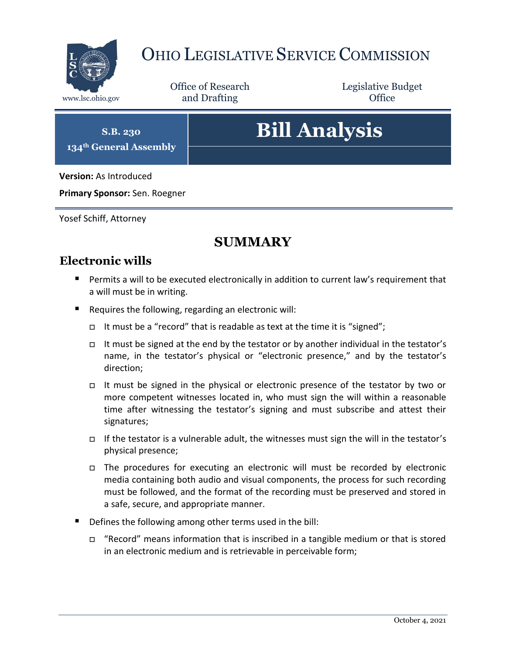

# OHIO LEGISLATIVE SERVICE COMMISSION

Office of Research www.lsc.ohio.gov **and Drafting Office** 

Legislative Budget

**S.B. 230 134th General Assembly**

# **Bill Analysis**

**Version:** As Introduced

**Primary Sponsor:** Sen. Roegner

Yosef Schiff, Attorney

# **SUMMARY**

# **Electronic wills**

- **Permits a will to be executed electronically in addition to current law's requirement that** a will must be in writing.
- Requires the following, regarding an electronic will:
	- It must be a "record" that is readable as text at the time it is "signed";
	- It must be signed at the end by the testator or by another individual in the testator's name, in the testator's physical or "electronic presence," and by the testator's direction;
	- It must be signed in the physical or electronic presence of the testator by two or more competent witnesses located in, who must sign the will within a reasonable time after witnessing the testator's signing and must subscribe and attest their signatures;
	- If the testator is a vulnerable adult, the witnesses must sign the will in the testator's physical presence;
	- The procedures for executing an electronic will must be recorded by electronic media containing both audio and visual components, the process for such recording must be followed, and the format of the recording must be preserved and stored in a safe, secure, and appropriate manner.
- Defines the following among other terms used in the bill:
	- $\Box$  "Record" means information that is inscribed in a tangible medium or that is stored in an electronic medium and is retrievable in perceivable form;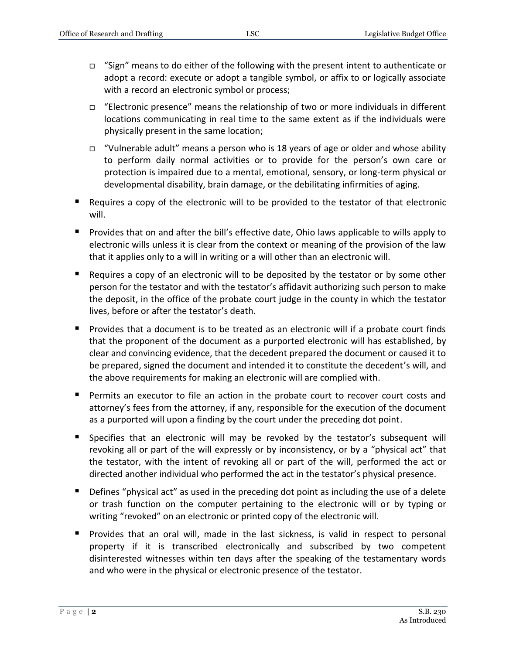- $\Box$  "Sign" means to do either of the following with the present intent to authenticate or adopt a record: execute or adopt a tangible symbol, or affix to or logically associate with a record an electronic symbol or process;
- $\Box$  "Electronic presence" means the relationship of two or more individuals in different locations communicating in real time to the same extent as if the individuals were physically present in the same location;
- $\Box$  "Vulnerable adult" means a person who is 18 years of age or older and whose ability to perform daily normal activities or to provide for the person's own care or protection is impaired due to a mental, emotional, sensory, or long-term physical or developmental disability, brain damage, or the debilitating infirmities of aging.
- Requires a copy of the electronic will to be provided to the testator of that electronic will.
- **Provides that on and after the bill's effective date, Ohio laws applicable to wills apply to** electronic wills unless it is clear from the context or meaning of the provision of the law that it applies only to a will in writing or a will other than an electronic will.
- $\blacksquare$  Requires a copy of an electronic will to be deposited by the testator or by some other person for the testator and with the testator's affidavit authorizing such person to make the deposit, in the office of the probate court judge in the county in which the testator lives, before or after the testator's death.
- **Provides that a document is to be treated as an electronic will if a probate court finds** that the proponent of the document as a purported electronic will has established, by clear and convincing evidence, that the decedent prepared the document or caused it to be prepared, signed the document and intended it to constitute the decedent's will, and the above requirements for making an electronic will are complied with.
- Permits an executor to file an action in the probate court to recover court costs and attorney's fees from the attorney, if any, responsible for the execution of the document as a purported will upon a finding by the court under the preceding dot point.
- Specifies that an electronic will may be revoked by the testator's subsequent will revoking all or part of the will expressly or by inconsistency, or by a "physical act" that the testator, with the intent of revoking all or part of the will, performed the act or directed another individual who performed the act in the testator's physical presence.
- **Defines "physical act" as used in the preceding dot point as including the use of a delete** or trash function on the computer pertaining to the electronic will or by typing or writing "revoked" on an electronic or printed copy of the electronic will.
- Provides that an oral will, made in the last sickness, is valid in respect to personal property if it is transcribed electronically and subscribed by two competent disinterested witnesses within ten days after the speaking of the testamentary words and who were in the physical or electronic presence of the testator.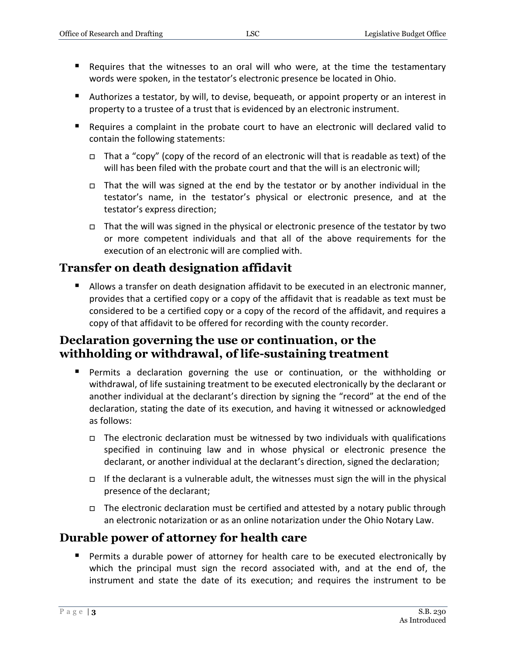- Requires that the witnesses to an oral will who were, at the time the testamentary words were spoken, in the testator's electronic presence be located in Ohio.
- Authorizes a testator, by will, to devise, bequeath, or appoint property or an interest in property to a trustee of a trust that is evidenced by an electronic instrument.
- Requires a complaint in the probate court to have an electronic will declared valid to contain the following statements:
	- $\Box$  That a "copy" (copy of the record of an electronic will that is readable as text) of the will has been filed with the probate court and that the will is an electronic will;
	- $\Box$  That the will was signed at the end by the testator or by another individual in the testator's name, in the testator's physical or electronic presence, and at the testator's express direction;
	- □ That the will was signed in the physical or electronic presence of the testator by two or more competent individuals and that all of the above requirements for the execution of an electronic will are complied with.

# **Transfer on death designation affidavit**

■ Allows a transfer on death designation affidavit to be executed in an electronic manner, provides that a certified copy or a copy of the affidavit that is readable as text must be considered to be a certified copy or a copy of the record of the affidavit, and requires a copy of that affidavit to be offered for recording with the county recorder.

# **Declaration governing the use or continuation, or the withholding or withdrawal, of life-sustaining treatment**

- Permits a declaration governing the use or continuation, or the withholding or withdrawal, of life sustaining treatment to be executed electronically by the declarant or another individual at the declarant's direction by signing the "record" at the end of the declaration, stating the date of its execution, and having it witnessed or acknowledged as follows:
	- $\Box$  The electronic declaration must be witnessed by two individuals with qualifications specified in continuing law and in whose physical or electronic presence the declarant, or another individual at the declarant's direction, signed the declaration;
	- If the declarant is a vulnerable adult, the witnesses must sign the will in the physical presence of the declarant;
	- □ The electronic declaration must be certified and attested by a notary public through an electronic notarization or as an online notarization under the Ohio Notary Law.

# **Durable power of attorney for health care**

 Permits a durable power of attorney for health care to be executed electronically by which the principal must sign the record associated with, and at the end of, the instrument and state the date of its execution; and requires the instrument to be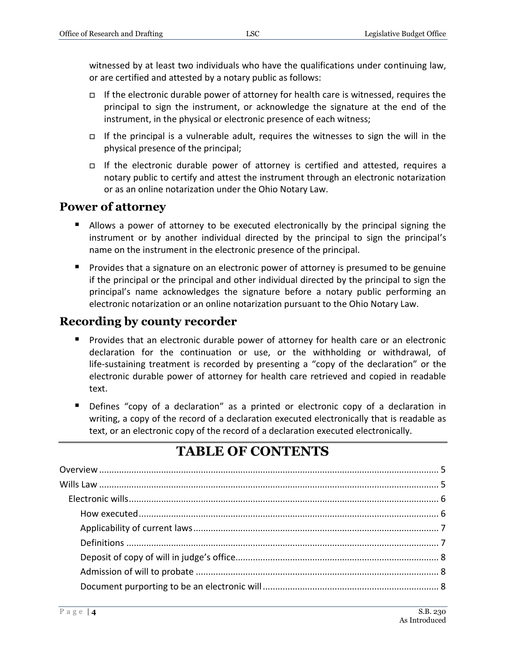witnessed by at least two individuals who have the qualifications under continuing law, or are certified and attested by a notary public as follows:

- If the electronic durable power of attorney for health care is witnessed, requires the principal to sign the instrument, or acknowledge the signature at the end of the instrument, in the physical or electronic presence of each witness;
- $\Box$  If the principal is a vulnerable adult, requires the witnesses to sign the will in the physical presence of the principal;
- $\Box$  If the electronic durable power of attorney is certified and attested, requires a notary public to certify and attest the instrument through an electronic notarization or as an online notarization under the Ohio Notary Law.

### **Power of attorney**

- Allows a power of attorney to be executed electronically by the principal signing the instrument or by another individual directed by the principal to sign the principal's name on the instrument in the electronic presence of the principal.
- **Provides that a signature on an electronic power of attorney is presumed to be genuine** if the principal or the principal and other individual directed by the principal to sign the principal's name acknowledges the signature before a notary public performing an electronic notarization or an online notarization pursuant to the Ohio Notary Law.

### **Recording by county recorder**

- **Provides that an electronic durable power of attorney for health care or an electronic** declaration for the continuation or use, or the withholding or withdrawal, of life-sustaining treatment is recorded by presenting a "copy of the declaration" or the electronic durable power of attorney for health care retrieved and copied in readable text.
- Defines "copy of a declaration" as a printed or electronic copy of a declaration in writing, a copy of the record of a declaration executed electronically that is readable as text, or an electronic copy of the record of a declaration executed electronically.

# **TABLE OF CONTENTS**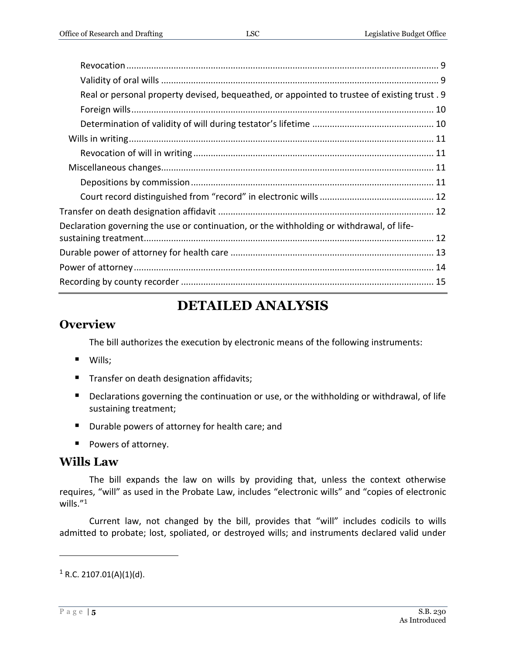| Real or personal property devised, bequeathed, or appointed to trustee of existing trust. 9 |  |
|---------------------------------------------------------------------------------------------|--|
|                                                                                             |  |
|                                                                                             |  |
|                                                                                             |  |
|                                                                                             |  |
|                                                                                             |  |
|                                                                                             |  |
|                                                                                             |  |
|                                                                                             |  |
| Declaration governing the use or continuation, or the withholding or withdrawal, of life-   |  |
|                                                                                             |  |
|                                                                                             |  |
|                                                                                             |  |
|                                                                                             |  |
|                                                                                             |  |

# **DETAILED ANALYSIS**

## <span id="page-4-0"></span>**Overview**

The bill authorizes the execution by electronic means of the following instruments:

- Wills;
- **Transfer on death designation affidavits;**
- **Declarations governing the continuation or use, or the withholding or withdrawal, of life** sustaining treatment;
- **Durable powers of attorney for health care; and**
- Powers of attorney.

# <span id="page-4-1"></span>**Wills Law**

The bill expands the law on wills by providing that, unless the context otherwise requires, "will" as used in the Probate Law, includes "electronic wills" and "copies of electronic wills."<sup>1</sup>

Current law, not changed by the bill, provides that "will" includes codicils to wills admitted to probate; lost, spoliated, or destroyed wills; and instruments declared valid under

 $1$  R.C. 2107.01(A)(1)(d).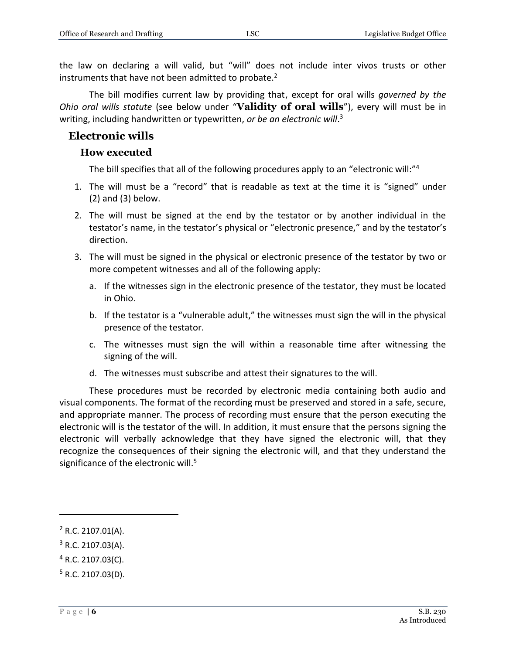the law on declaring a will valid, but "will" does not include inter vivos trusts or other instruments that have not been admitted to probate.<sup>2</sup>

The bill modifies current law by providing that, except for oral wills *governed by the Ohio oral wills statute* (see below under "**Validity of oral wills**"), every will must be in writing, including handwritten or typewritten, *or be an electronic will*. 3

#### <span id="page-5-1"></span><span id="page-5-0"></span>**Electronic wills**

#### **How executed**

The bill specifies that all of the following procedures apply to an "electronic will:"<sup>4</sup>

- 1. The will must be a "record" that is readable as text at the time it is "signed" under (2) and (3) below.
- 2. The will must be signed at the end by the testator or by another individual in the testator's name, in the testator's physical or "electronic presence," and by the testator's direction.
- 3. The will must be signed in the physical or electronic presence of the testator by two or more competent witnesses and all of the following apply:
	- a. If the witnesses sign in the electronic presence of the testator, they must be located in Ohio.
	- b. If the testator is a "vulnerable adult," the witnesses must sign the will in the physical presence of the testator.
	- c. The witnesses must sign the will within a reasonable time after witnessing the signing of the will.
	- d. The witnesses must subscribe and attest their signatures to the will.

These procedures must be recorded by electronic media containing both audio and visual components. The format of the recording must be preserved and stored in a safe, secure, and appropriate manner. The process of recording must ensure that the person executing the electronic will is the testator of the will. In addition, it must ensure that the persons signing the electronic will verbally acknowledge that they have signed the electronic will, that they recognize the consequences of their signing the electronic will, and that they understand the significance of the electronic will.<sup>5</sup>

 $\overline{a}$ 

 $3$  R.C. 2107.03(A).

 $2$  R.C. 2107.01(A).

 $4$  R.C. 2107.03(C).

 $5$  R.C. 2107.03(D).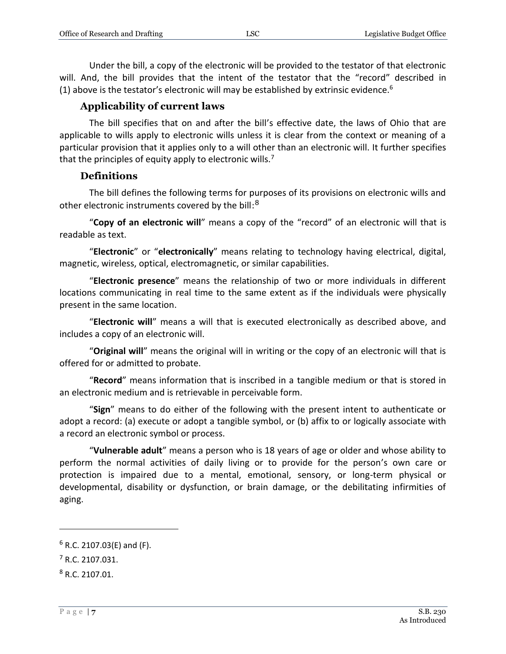Under the bill, a copy of the electronic will be provided to the testator of that electronic will. And, the bill provides that the intent of the testator that the "record" described in (1) above is the testator's electronic will may be established by extrinsic evidence.<sup>6</sup>

#### **Applicability of current laws**

<span id="page-6-0"></span>The bill specifies that on and after the bill's effective date, the laws of Ohio that are applicable to wills apply to electronic wills unless it is clear from the context or meaning of a particular provision that it applies only to a will other than an electronic will. It further specifies that the principles of equity apply to electronic wills.<sup>7</sup>

#### **Definitions**

<span id="page-6-1"></span>The bill defines the following terms for purposes of its provisions on electronic wills and other electronic instruments covered by the bill:<sup>8</sup>

"**Copy of an electronic will**" means a copy of the "record" of an electronic will that is readable as text.

"**Electronic**" or "**electronically**" means relating to technology having electrical, digital, magnetic, wireless, optical, electromagnetic, or similar capabilities.

"**Electronic presence**" means the relationship of two or more individuals in different locations communicating in real time to the same extent as if the individuals were physically present in the same location.

"**Electronic will**" means a will that is executed electronically as described above, and includes a copy of an electronic will.

"**Original will**" means the original will in writing or the copy of an electronic will that is offered for or admitted to probate.

"**Record**" means information that is inscribed in a tangible medium or that is stored in an electronic medium and is retrievable in perceivable form.

"**Sign**" means to do either of the following with the present intent to authenticate or adopt a record: (a) execute or adopt a tangible symbol, or (b) affix to or logically associate with a record an electronic symbol or process.

"**Vulnerable adult**" means a person who is 18 years of age or older and whose ability to perform the normal activities of daily living or to provide for the person's own care or protection is impaired due to a mental, emotional, sensory, or long-term physical or developmental, disability or dysfunction, or brain damage, or the debilitating infirmities of aging.

 $6$  R.C. 2107.03(E) and (F).

 $<sup>7</sup>$  R.C. 2107.031.</sup>

<sup>8</sup> R.C. 2107.01.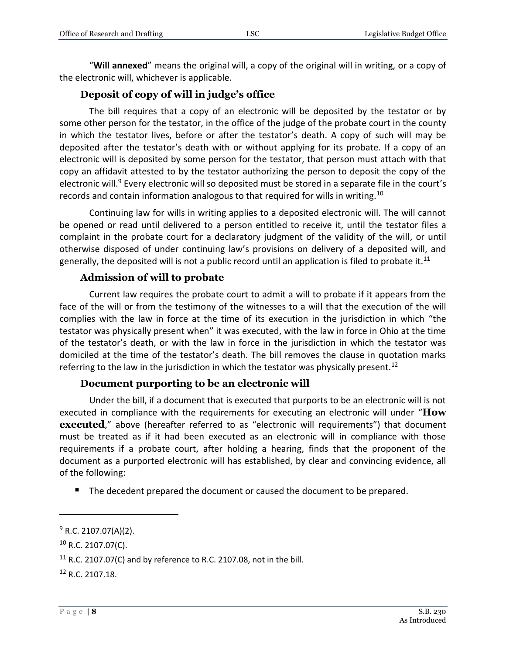"**Will annexed**" means the original will, a copy of the original will in writing, or a copy of the electronic will, whichever is applicable.

#### **Deposit of copy of will in judge's office**

<span id="page-7-0"></span>The bill requires that a copy of an electronic will be deposited by the testator or by some other person for the testator, in the office of the judge of the probate court in the county in which the testator lives, before or after the testator's death. A copy of such will may be deposited after the testator's death with or without applying for its probate. If a copy of an electronic will is deposited by some person for the testator, that person must attach with that copy an affidavit attested to by the testator authorizing the person to deposit the copy of the electronic will.<sup>9</sup> Every electronic will so deposited must be stored in a separate file in the court's records and contain information analogous to that required for wills in writing.<sup>10</sup>

Continuing law for wills in writing applies to a deposited electronic will. The will cannot be opened or read until delivered to a person entitled to receive it, until the testator files a complaint in the probate court for a declaratory judgment of the validity of the will, or until otherwise disposed of under continuing law's provisions on delivery of a deposited will, and generally, the deposited will is not a public record until an application is filed to probate it.<sup>11</sup>

#### **Admission of will to probate**

<span id="page-7-1"></span>Current law requires the probate court to admit a will to probate if it appears from the face of the will or from the testimony of the witnesses to a will that the execution of the will complies with the law in force at the time of its execution in the jurisdiction in which "the testator was physically present when" it was executed, with the law in force in Ohio at the time of the testator's death, or with the law in force in the jurisdiction in which the testator was domiciled at the time of the testator's death. The bill removes the clause in quotation marks referring to the law in the jurisdiction in which the testator was physically present.<sup>12</sup>

#### **Document purporting to be an electronic will**

<span id="page-7-2"></span>Under the bill, if a document that is executed that purports to be an electronic will is not executed in compliance with the requirements for executing an electronic will under "**How executed**," above (hereafter referred to as "electronic will requirements") that document must be treated as if it had been executed as an electronic will in compliance with those requirements if a probate court, after holding a hearing, finds that the proponent of the document as a purported electronic will has established, by clear and convincing evidence, all of the following:

The decedent prepared the document or caused the document to be prepared.

 $9$  R.C. 2107.07(A)(2).

 $10$  R.C. 2107.07(C).

 $11$  R.C. 2107.07(C) and by reference to R.C. 2107.08, not in the bill.

<sup>12</sup> R.C. 2107.18.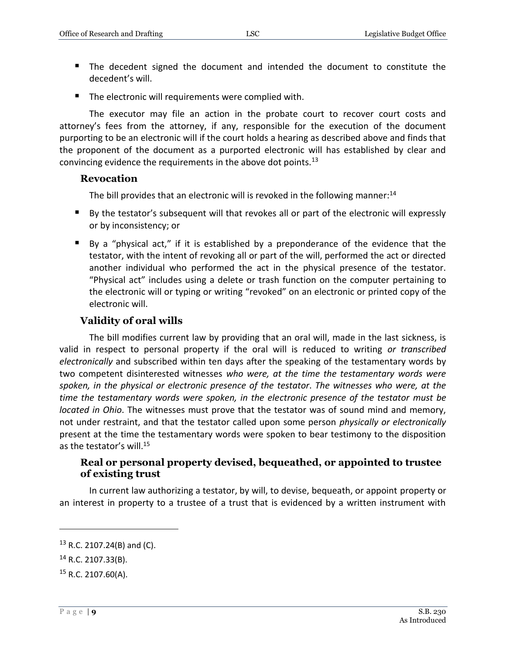- The decedent signed the document and intended the document to constitute the decedent's will.
- The electronic will requirements were complied with.

The executor may file an action in the probate court to recover court costs and attorney's fees from the attorney, if any, responsible for the execution of the document purporting to be an electronic will if the court holds a hearing as described above and finds that the proponent of the document as a purported electronic will has established by clear and convincing evidence the requirements in the above dot points.<sup>13</sup>

#### <span id="page-8-0"></span>**Revocation**

The bill provides that an electronic will is revoked in the following manner: $14$ 

- By the testator's subsequent will that revokes all or part of the electronic will expressly or by inconsistency; or
- By a "physical act," if it is established by a preponderance of the evidence that the testator, with the intent of revoking all or part of the will, performed the act or directed another individual who performed the act in the physical presence of the testator. "Physical act" includes using a delete or trash function on the computer pertaining to the electronic will or typing or writing "revoked" on an electronic or printed copy of the electronic will.

#### **Validity of oral wills**

<span id="page-8-1"></span>The bill modifies current law by providing that an oral will, made in the last sickness, is valid in respect to personal property if the oral will is reduced to writing *or transcribed electronically* and subscribed within ten days after the speaking of the testamentary words by two competent disinterested witnesses *who were, at the time the testamentary words were spoken, in the physical or electronic presence of the testator*. *The witnesses who were, at the time the testamentary words were spoken, in the electronic presence of the testator must be located in Ohio*. The witnesses must prove that the testator was of sound mind and memory, not under restraint, and that the testator called upon some person *physically or electronically*  present at the time the testamentary words were spoken to bear testimony to the disposition as the testator's will.<sup>15</sup>

#### <span id="page-8-2"></span>**Real or personal property devised, bequeathed, or appointed to trustee of existing trust**

In current law authorizing a testator, by will, to devise, bequeath, or appoint property or an interest in property to a trustee of a trust that is evidenced by a written instrument with

<sup>13</sup> R.C. 2107.24(B) and (C).

<sup>14</sup> R.C. 2107.33(B).

 $15$  R.C. 2107.60(A).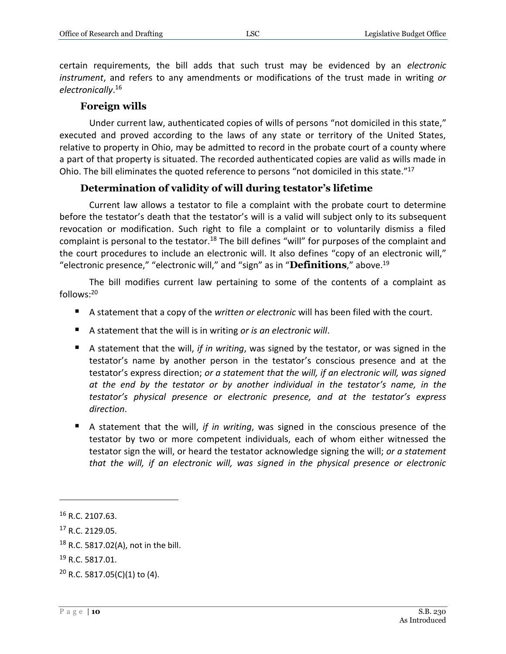certain requirements, the bill adds that such trust may be evidenced by an *electronic instrument*, and refers to any amendments or modifications of the trust made in writing *or electronically*. 16

#### **Foreign wills**

<span id="page-9-0"></span>Under current law, authenticated copies of wills of persons "not domiciled in this state," executed and proved according to the laws of any state or territory of the United States, relative to property in Ohio, may be admitted to record in the probate court of a county where a part of that property is situated. The recorded authenticated copies are valid as wills made in Ohio. The bill eliminates the quoted reference to persons "not domiciled in this state."<sup>17</sup>

#### **Determination of validity of will during testator's lifetime**

<span id="page-9-1"></span>Current law allows a testator to file a complaint with the probate court to determine before the testator's death that the testator's will is a valid will subject only to its subsequent revocation or modification. Such right to file a complaint or to voluntarily dismiss a filed complaint is personal to the testator.<sup>18</sup> The bill defines "will" for purposes of the complaint and the court procedures to include an electronic will. It also defines "copy of an electronic will," "electronic presence," "electronic will," and "sign" as in "**Definitions**," above.<sup>19</sup>

The bill modifies current law pertaining to some of the contents of a complaint as follows:<sup>20</sup>

- A statement that a copy of the *written or electronic* will has been filed with the court.
- A statement that the will is in writing *or is an electronic will*.
- A statement that the will, *if in writing*, was signed by the testator, or was signed in the testator's name by another person in the testator's conscious presence and at the testator's express direction; *or a statement that the will, if an electronic will, was signed at the end by the testator or by another individual in the testator's name, in the testator's physical presence or electronic presence, and at the testator's express direction*.
- A statement that the will, *if in writing*, was signed in the conscious presence of the testator by two or more competent individuals, each of whom either witnessed the testator sign the will, or heard the testator acknowledge signing the will; *or a statement that the will, if an electronic will, was signed in the physical presence or electronic*

<sup>16</sup> R.C. 2107.63.

<sup>17</sup> R.C. 2129.05.

<sup>18</sup> R.C. 5817.02(A), not in the bill.

<sup>&</sup>lt;sup>19</sup> R.C. 5817.01.

 $20$  R.C. 5817.05(C)(1) to (4).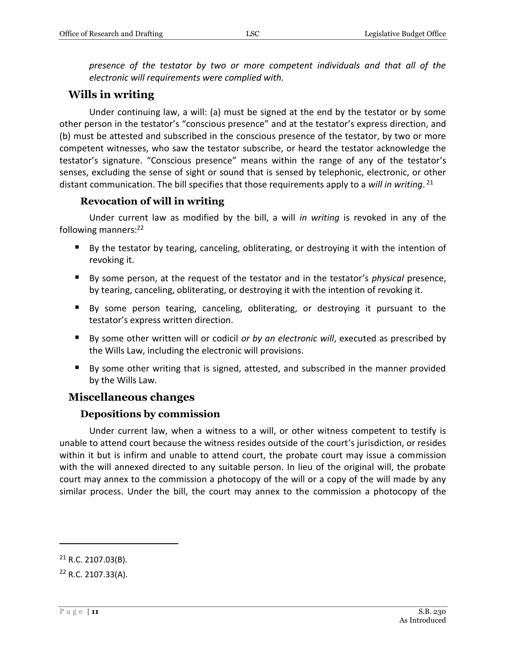*presence of the testator by two or more competent individuals and that all of the electronic will requirements were complied with.*

### <span id="page-10-0"></span>**Wills in writing**

Under continuing law, a will: (a) must be signed at the end by the testator or by some other person in the testator's "conscious presence" and at the testator's express direction, and (b) must be attested and subscribed in the conscious presence of the testator, by two or more competent witnesses, who saw the testator subscribe, or heard the testator acknowledge the testator's signature. "Conscious presence" means within the range of any of the testator's senses, excluding the sense of sight or sound that is sensed by telephonic, electronic, or other distant communication. The bill specifies that those requirements apply to a *will in writing*. 21

#### **Revocation of will in writing**

<span id="page-10-1"></span>Under current law as modified by the bill, a will *in writing* is revoked in any of the following manners: $22$ 

- By the testator by tearing, canceling, obliterating, or destroying it with the intention of revoking it.
- By some person, at the request of the testator and in the testator's *physical* presence, by tearing, canceling, obliterating, or destroying it with the intention of revoking it.
- By some person tearing, canceling, obliterating, or destroying it pursuant to the testator's express written direction.
- By some other written will or codicil *or by an electronic will*, executed as prescribed by the Wills Law, including the electronic will provisions.
- By some other writing that is signed, attested, and subscribed in the manner provided by the Wills Law.

### <span id="page-10-2"></span>**Miscellaneous changes**

#### **Depositions by commission**

<span id="page-10-3"></span>Under current law, when a witness to a will, or other witness competent to testify is unable to attend court because the witness resides outside of the court's jurisdiction, or resides within it but is infirm and unable to attend court, the probate court may issue a commission with the will annexed directed to any suitable person. In lieu of the original will, the probate court may annex to the commission a photocopy of the will or a copy of the will made by any similar process. Under the bill, the court may annex to the commission a photocopy of the

 $21$  R.C. 2107.03(B).

<sup>22</sup> R.C. 2107.33(A).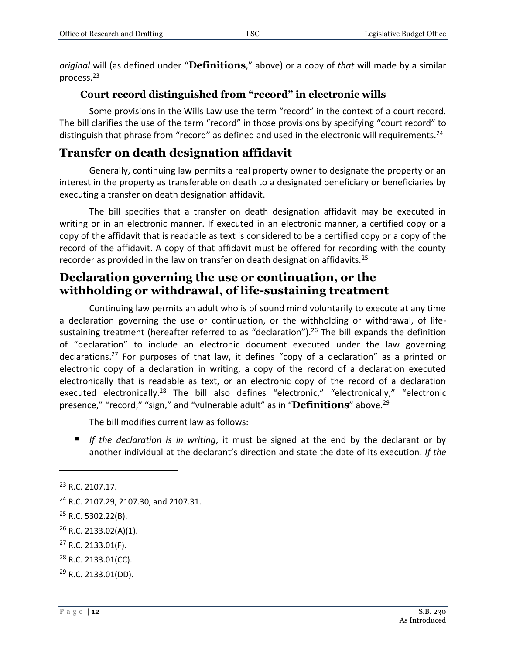*original* will (as defined under "**Definitions**," above) or a copy of *that* will made by a similar process.<sup>23</sup>

#### **Court record distinguished from "record" in electronic wills**

<span id="page-11-0"></span>Some provisions in the Wills Law use the term "record" in the context of a court record. The bill clarifies the use of the term "record" in those provisions by specifying "court record" to distinguish that phrase from "record" as defined and used in the electronic will requirements.<sup>24</sup>

# <span id="page-11-1"></span>**Transfer on death designation affidavit**

Generally, continuing law permits a real property owner to designate the property or an interest in the property as transferable on death to a designated beneficiary or beneficiaries by executing a transfer on death designation affidavit.

The bill specifies that a transfer on death designation affidavit may be executed in writing or in an electronic manner. If executed in an electronic manner, a certified copy or a copy of the affidavit that is readable as text is considered to be a certified copy or a copy of the record of the affidavit. A copy of that affidavit must be offered for recording with the county recorder as provided in the law on transfer on death designation affidavits.<sup>25</sup>

# <span id="page-11-2"></span>**Declaration governing the use or continuation, or the withholding or withdrawal, of life-sustaining treatment**

Continuing law permits an adult who is of sound mind voluntarily to execute at any time a declaration governing the use or continuation, or the withholding or withdrawal, of lifesustaining treatment (hereafter referred to as "declaration").<sup>26</sup> The bill expands the definition of "declaration" to include an electronic document executed under the law governing declarations.<sup>27</sup> For purposes of that law, it defines "copy of a declaration" as a printed or electronic copy of a declaration in writing, a copy of the record of a declaration executed electronically that is readable as text, or an electronic copy of the record of a declaration executed electronically.<sup>28</sup> The bill also defines "electronic," "electronically," "electronic presence," "record," "sign," and "vulnerable adult" as in "**Definitions**" above.<sup>29</sup>

The bill modifies current law as follows:

 *If the declaration is in writing*, it must be signed at the end by the declarant or by another individual at the declarant's direction and state the date of its execution. *If the* 

<sup>&</sup>lt;sup>23</sup> R.C. 2107.17.

<sup>24</sup> R.C. 2107.29, 2107.30, and 2107.31.

<sup>25</sup> R.C. 5302.22(B).

 $26$  R.C. 2133.02(A)(1).

<sup>27</sup> R.C. 2133.01(F).

<sup>28</sup> R.C. 2133.01(CC).

<sup>29</sup> R.C. 2133.01(DD).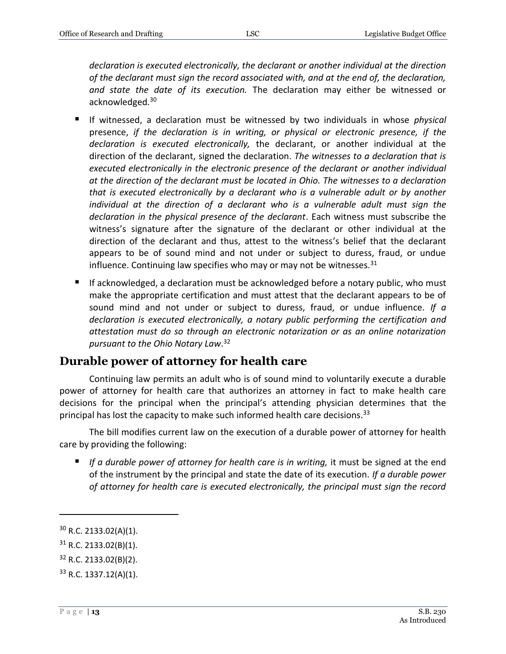*declaration is executed electronically, the declarant or another individual at the direction of the declarant must sign the record associated with, and at the end of, the declaration, and state the date of its execution.* The declaration may either be witnessed or acknowledged*.* 30

- If witnessed, a declaration must be witnessed by two individuals in whose *physical* presence, *if the declaration is in writing, or physical or electronic presence, if the declaration is executed electronically,* the declarant, or another individual at the direction of the declarant, signed the declaration. *The witnesses to a declaration that is executed electronically in the electronic presence of the declarant or another individual at the direction of the declarant must be located in Ohio. The witnesses to a declaration that is executed electronically by a declarant who is a vulnerable adult or by another individual at the direction of a declarant who is a vulnerable adult must sign the declaration in the physical presence of the declarant*. Each witness must subscribe the witness's signature after the signature of the declarant or other individual at the direction of the declarant and thus, attest to the witness's belief that the declarant appears to be of sound mind and not under or subject to duress, fraud, or undue influence. Continuing law specifies who may or may not be witnesses. $31$
- If acknowledged, a declaration must be acknowledged before a notary public, who must make the appropriate certification and must attest that the declarant appears to be of sound mind and not under or subject to duress, fraud, or undue influence*. If a declaration is executed electronically, a notary public performing the certification and attestation must do so through an electronic notarization or as an online notarization pursuant to the Ohio Notary Law*. 32

# <span id="page-12-0"></span>**Durable power of attorney for health care**

Continuing law permits an adult who is of sound mind to voluntarily execute a durable power of attorney for health care that authorizes an attorney in fact to make health care decisions for the principal when the principal's attending physician determines that the principal has lost the capacity to make such informed health care decisions.<sup>33</sup>

The bill modifies current law on the execution of a durable power of attorney for health care by providing the following:

 *If a durable power of attorney for health care is in writing,* it must be signed at the end of the instrument by the principal and state the date of its execution. *If a durable power of attorney for health care is executed electronically, the principal must sign the record* 

 $30$  R.C. 2133.02(A)(1).

 $31$  R.C. 2133.02(B)(1).

<sup>32</sup> R.C. 2133.02(B)(2).

<sup>33</sup> R.C. 1337.12(A)(1).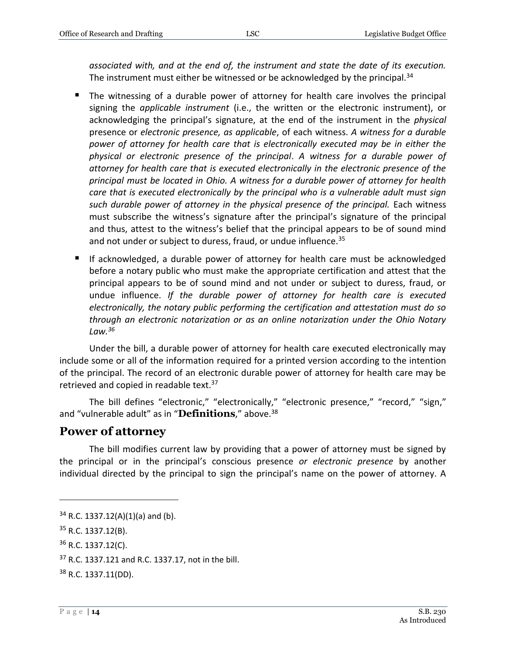*associated with, and at the end of, the instrument and state the date of its execution.* The instrument must either be witnessed or be acknowledged by the principal. $34$ 

- The witnessing of a durable power of attorney for health care involves the principal signing the *applicable instrument* (i.e., the written or the electronic instrument), or acknowledging the principal's signature, at the end of the instrument in the *physical* presence or *electronic presence, as applicable*, of each witness. *A witness for a durable power of attorney for health care that is electronically executed may be in either the physical or electronic presence of the principal*. *A witness for a durable power of attorney for health care that is executed electronically in the electronic presence of the principal must be located in Ohio. A witness for a durable power of attorney for health care that is executed electronically by the principal who is a vulnerable adult must sign such durable power of attorney in the physical presence of the principal.* Each witness must subscribe the witness's signature after the principal's signature of the principal and thus, attest to the witness's belief that the principal appears to be of sound mind and not under or subject to duress, fraud, or undue influence.<sup>35</sup>
- If acknowledged, a durable power of attorney for health care must be acknowledged before a notary public who must make the appropriate certification and attest that the principal appears to be of sound mind and not under or subject to duress, fraud, or undue influence. *If the durable power of attorney for health care is executed electronically, the notary public performing the certification and attestation must do so through an electronic notarization or as an online notarization under the Ohio Notary Law.<sup>36</sup>*

Under the bill, a durable power of attorney for health care executed electronically may include some or all of the information required for a printed version according to the intention of the principal. The record of an electronic durable power of attorney for health care may be retrieved and copied in readable text.<sup>37</sup>

The bill defines "electronic," "electronically," "electronic presence," "record," "sign," and "vulnerable adult" as in "**Definitions**," above.<sup>38</sup>

#### <span id="page-13-0"></span>**Power of attorney**

The bill modifies current law by providing that a power of attorney must be signed by the principal or in the principal's conscious presence *or electronic presence* by another individual directed by the principal to sign the principal's name on the power of attorney. A

 $34$  R.C. 1337.12(A)(1)(a) and (b).

<sup>35</sup> R.C. 1337.12(B).

<sup>36</sup> R.C. 1337.12(C).

<sup>37</sup> R.C. 1337.121 and R.C. 1337.17, not in the bill.

<sup>38</sup> R.C. 1337.11(DD).